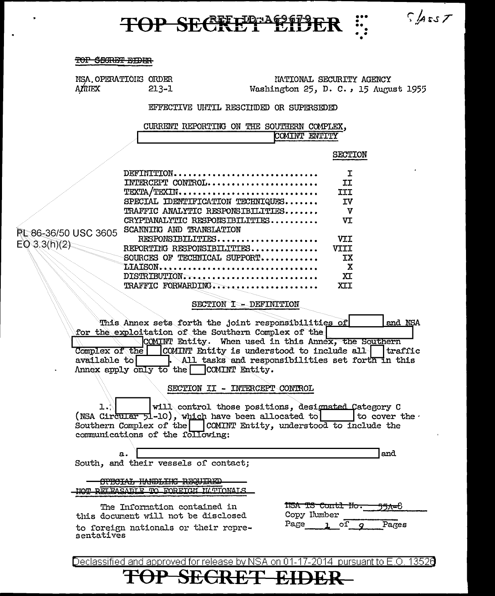## TOP SECRET EID

#### TOP SECRET EIDER

NSA OPERATIONS ORDER AMIEX  $213 - 1$ 

NATIONAL SECURITY AGENCY Washington 25, D. C., 15 August 1955

 $S|$ Ass $T$ 

#### EFFECTIVE UNTIL RESCIIDED OR SUPERSEDED

CURRENT REPORTING ON THE SOUTHERN COMPLEX, COMINT ENTITY

#### **SECTION**

|                      | DEFINITION                        |       |
|----------------------|-----------------------------------|-------|
|                      | INTERCEPT CONTROL                 |       |
|                      | TEXTA/TEXIN                       |       |
|                      | SPECIAL IDENTIFICATION TECHNIQUES |       |
|                      | TRAFFIC ANALYTIC RESPONSIBILITIES | v     |
|                      | CRYPTANALYTIC RESPONSIBILITIES    | vτ    |
| PL 86-36/50 USC 3605 | SCANNING AND TRANSLATION          |       |
|                      | RESPONSIBILITIES                  | VT.T. |
| EO(3.3(h)(2)         | REPORTING RESPONSIBILITIES        |       |
|                      | SOURCES OF TECHNICAL SUPPORT      | тх    |
|                      | LIAISON                           | x     |
|                      | DISTRIBUTION                      | xт    |
|                      | TRAFFIC FORWARDING                |       |

SECTION I - DEFINITION

This Annex sets forth the joint responsibilities of and NSA for the exploitation of the Southern Complex of the COMINT Entity. When used in this Annex, the Southern Complex of the COMINT Entity is understood to include all traffic available to **All** tasks and responsibilities set forth in this Annex apply only to the **COMINT** Entity.

SECTION II - INTERCEPT CONTROL

will control those positions, designated Category C ı. (NSA Circular 51-10), which have been allocated to | to cover the Southern Complex of the COMINT Entity, understood to include the communications of the following:

|  |  |                                      | 'and |
|--|--|--------------------------------------|------|
|  |  | South, and their vessels of contact; |      |

OPECIAL HANDLIK REQUIRED HOT BELEASABLE TO FOREIGH HATIONALS

The Information contained in this document will not be disclosed to foreign nationals or their representatives

|      | <b>TISA TS Contl Ho.</b> |     | <del>551-</del> 8 |
|------|--------------------------|-----|-------------------|
|      | Copy Ilumber             |     |                   |
| Page |                          | o1. | Pages             |

Declassified and approved for release by NSA on 01-17-2014 pursuant to E.O. 13526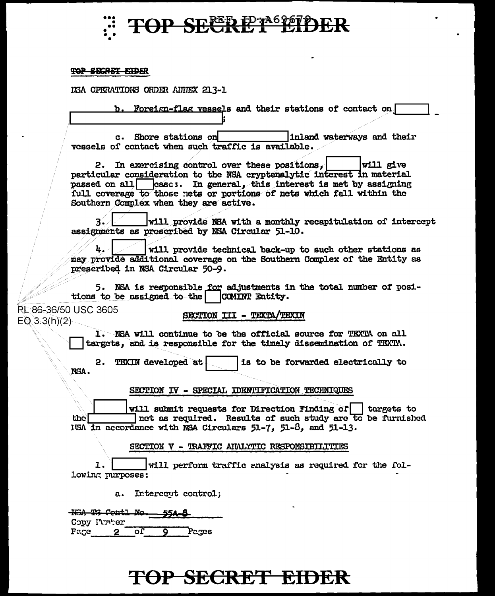

#### **TOP SECRET EIDER**

IGA OPERATIONS ORDER AINEX 213-1

b. Foreign-flag vessels and their stations of contact on

c. Shore stations on inland waterways and their vessels of contact when such traffic is available.

2. In exercising control over these positions, **Will give** particular consideration to the NSA cryptanalytic interest in material passed on all casc: In general, this interest is met by assigning full coverage to those nets or portions of nets which fall within the Southern Complex when they are active.

 $3\degree$ will provide NSA with a monthly recapitulation of intercept assignments as prescribed by NSA Circular 51-10.

 $\mathbf{h}$ will provide technical back-up to such other stations as may provide additional coverage on the Southern Complex of the Entity as prescribed in NSA Circular 50-9.

5. NSA is responsible for adjustments in the total number of positions to be assigned to the | COMINT Entity.

**PL 86-36/50 USC 3605**  $E(0, 3, 3(h)(2))$ 

NSA.

SECTION III - TEXTA/TEXIN

1. NSA will continue to be the official source for TEXTA on all targets, and is responsible for the timely dissemination of TEXTA.

2. TEXIN developed at is to be forwarded electrically to

SECTION IV - SPECIAL IDENTIFICATION TECHNIQUES

will submit requests for Direction Finding of | targets to net as required. Results of such study are to be furnished the l ISA in accordance with NSA Circulars 51-7, 51-8, and 51-13.

SECTION V - TRAFFIC ANALYTIC RESPONSIBILITIES

l. will perform traffic analysis as required for the following purposes:

a. Intercent control:

With Til Centl No. 55A-8 Copy Itmher Fage 2 of  $\overline{\mathbf{o}}$ Pages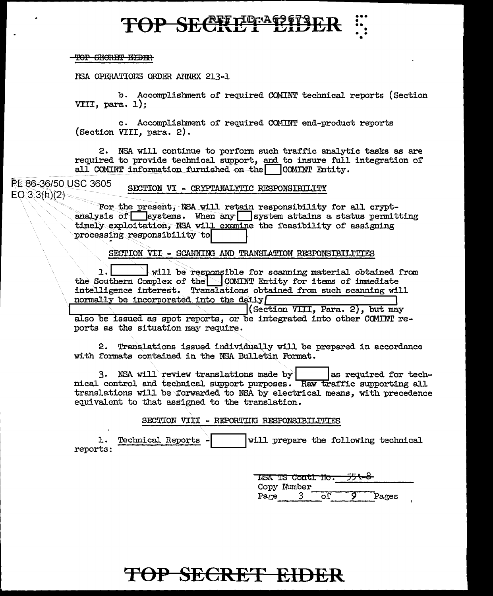# TOP SECREPTERER

#### TOP SECRET EIDER

NSA OPERATIONS ORDER ANNEX 213-1

b. Accomplishment of required COMINT technical reports (Section VIII, para. 1):

c. Accomplishment of required COMINT end-product reports (Section VIII, para. 2).

2. NSA will continue to perform such traffic analytic tasks as are required to provide technical support, and to insure full integration of all COMINT information furnished on the  $\Box$  COMINT Entity.

PE 86-36/50 USC 3605 SECTION VI - CRYPTANALYTIC RESPONSIBILITY  $EO(3.3(h)(2)$ 

> For the present, NSA will retain responsibility for all cryptanalysis of  $\Box$  systems. When any  $\Box$  system attains a status permitting timely exploitation. NSA will examine the feasibility of assigning processing responsibility to

> > SECTION VII - SCANNING AND TRANSLATION RESPONSIBILITIES

1. will be responsible for scanning material obtained from the Southern Complex of the COMINT Entity for items of immediate<br>intelligence interest. Translations obtained from such scanning will normally be incorporated into the daily

(Section VIII, Para. 2), but may also be issued as spot reports, or be integrated into other COMINT reports as the situation may require.

2. Translations issued individually will be prepared in accordance with formats contained in the NSA Bulletin Format.

3. NSA will review translations made by las required for technical control and technical support purposes. Raw traffic supporting all translations will be forwarded to NSA by electrical means, with precedence equivalent to that assigned to the translation.

SECTION VIII - REPORTING RESPONSIBILITIES

1. Technical Reports. will prepare the following technical reports:

> <u> NSA TS Contl No. .</u> Copy Number Pages Pare 3 οĒ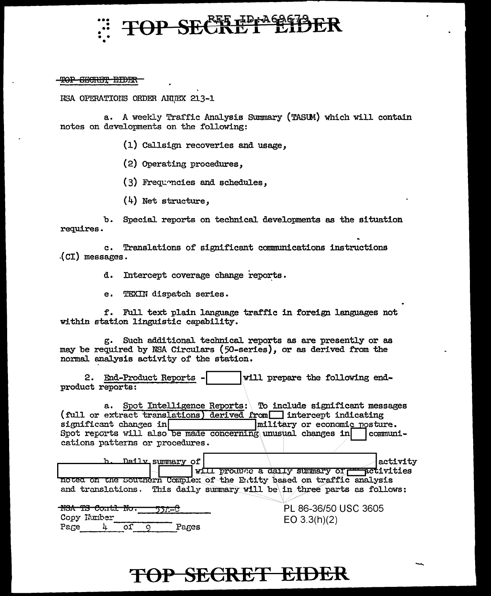

### TOP CECRET EIDER

ISA OPERATIONS ORDER ANNEX 213-1

a. A weekly Traffic Analysis Summary (TASUM) which will contain notes on developments on the following:

(1) Callsign recoveries and usage,

(2) Operating procedures,

(3) Frequencies and schedules.

 $(4)$  Net structure,

Special reports on technical developments as the situation  $\mathbf{b}$ . requires.

Translations of significant communications instructions  $c_{\bullet}$  $(CI)$  messages.

> Intercept coverage change reports. d.

e. TEXIN dispatch series.

f. Full text plain language traffic in foreign languages not within station linguistic capability.

g. Such additional technical reports as are presently or as may be required by NSA Circulars (50-series), or as derived from the normal analysis activity of the station.

2. End-Product Reports will prepare the following endproduct reports:

a. Spot Intelligence Reports: \ To include significant messages (full or extract translations) derived from intercept indicating significant changes in military or economic posture. Spot reports will also be made concerning unusual changes in communications patterns or procedures.

| Daily_summary_of                | activity                                                                |
|---------------------------------|-------------------------------------------------------------------------|
|                                 | will produce a daily summary of respectivities                          |
|                                 | noted on the Southern Complex of the Eutity based on traffic analysis   |
|                                 | and translations. This daily summary will be in three parts as follows: |
| TIOA<br>TIU.<br>conte<br>). – C | PL 86-36/50 USC 3605                                                    |
| Copy Kumber<br>Page<br>Pares    | EO 3.3(h)(2)                                                            |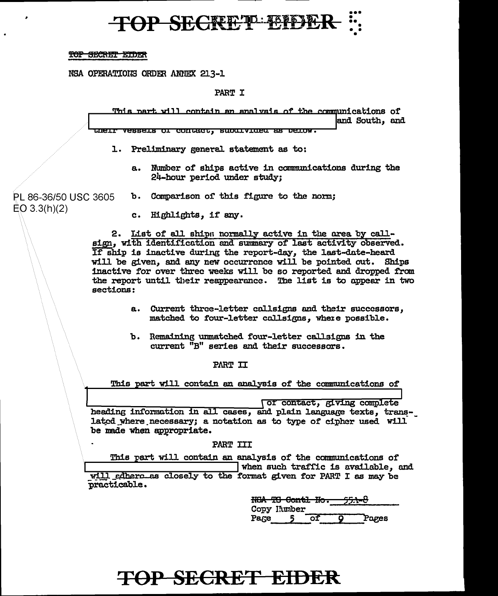## **TOP SECRET EIDER**

#### TOP SECRET EIDER

NSA OPERATIONS ORDER ANNEX 213-1

**PART I** 

This part will contain an analysis of the communications of and South, and <u>rueri Assers or courscr' snoararsa se perom.</u>

1. Preliminary general statement as to:

a. Number of ships active in communications during the 24-hour period under study:

b. Comparison of this figure to the norm; PL 86-36/50 USC 3605

 $EO$  3.3(h)(2)

c. Highlights, if any.

2. List of all ships normally active in the area by callsign, with identification and summary of last activity observed. If ship is inactive during the report-day, the last-date-heard will be given, and any new occurrence will be pointed out. Ships inactive for over three weeks will be so reported and dropped from the report until their reappearance. The list is to appear in two sections:

- a. Current three-letter callsigns and their successors, matched to four-letter callsigns, where possible.
- b. Remaining unmatched four-letter callsigns in the current "B" series and their successors.

PART II

This part will contain an analysis of the communications of

(or contact, giving complete heading information in all cases, and plain language texts, translated where necessary; a notation as to type of cipher used will be made when appropriate.

PART III

This part will contain an analysis of the communications of

when such traffic is available, and will edhere as closely to the format given for PART I as may be practicable.

> HSA TS Contl Ho. Copy Immber Page оf Pages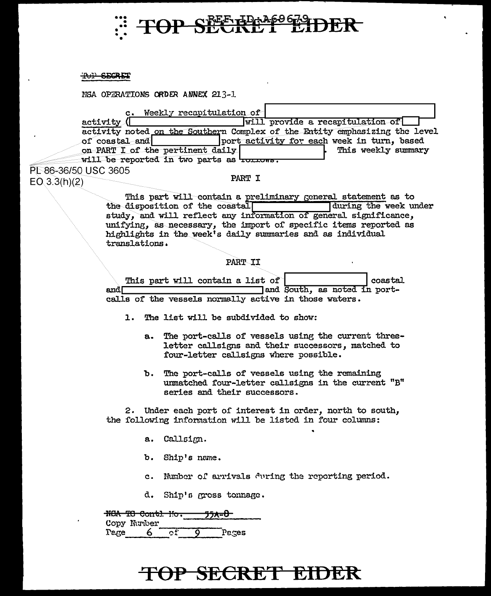

#### TOP SECRET

NSA OPERATIONS ORDER ANNEX 213-1.

| Weekly recapitulation of<br>$\mathbf{c}$ .          |                                                                            |  |
|-----------------------------------------------------|----------------------------------------------------------------------------|--|
| $\text{activity}$ (                                 | will provide a recapitulation of                                           |  |
|                                                     | activity noted on the Southern Complex of the Entity emphasizing the level |  |
| of $\cosh$ and                                      | port activity for each week in turn, based                                 |  |
| on PART I of the pertinent daily                    | This weekly summary                                                        |  |
| will be reported in two parts as <b>to to the</b> . |                                                                            |  |
|                                                     |                                                                            |  |

PL 86-36/50 USC 3605  $EO(3.3(h)(2)$ 

#### PART I

This part will contain a preliminary general statement as to during the week under the disposition of the coastal study, and will reflect any information of general significance, unifying, as necessary, the import of specific items reported as highlights in the week's daily summaries and as individual translations.

#### PART II

|      |  | This part will contain a list of                      |  |  |                              | coastal |
|------|--|-------------------------------------------------------|--|--|------------------------------|---------|
| andl |  |                                                       |  |  | and South, as noted in port- |         |
|      |  | calls of the vessels normally active in those waters. |  |  |                              |         |

- 1. The list will be subdivided to show:
	- a. The port-calls of vessels using the current threeletter callsigns and their successors, matched to four-letter callsigns where possible.
	- b. The port-calls of vessels using the remaining unmatched four-letter callsigns in the current "B" series and their successors.

2. Under each port of interest in order, north to south, the following information will be listed in four columns:

- a. Callsign.
- b. Ship's name.
- c. Number of arrivals during the reporting period.
- d. Ship's gross tonnage.

|      |                             |    | <b><i>PPA D</i></b> |  |
|------|-----------------------------|----|---------------------|--|
|      | <del>NGA TS Contl Ho.</del> |    |                     |  |
|      |                             |    |                     |  |
|      | Copy Munber                 |    |                     |  |
|      |                             |    |                     |  |
| Page | 6                           |    |                     |  |
|      |                             | OІ | Pages               |  |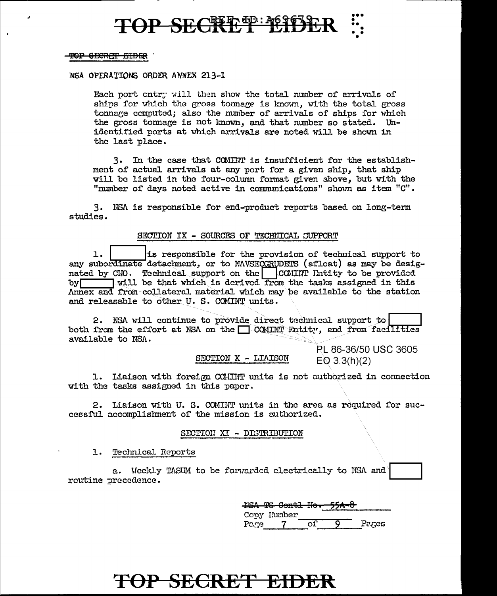## TOP SECRET EIDER

#### TOP SECRIT EIDER

#### NSA OPERATIONS ORDER ANNEX 213-1

Each port cntry will then show the total number of arrivals of ships for which the gross tonnage is known, with the total gross tonname computed; also the number of arrivals of ships for which the gross tonnage is not known, and that number so stated. Unidentified ports at which arrivals are noted will be shown in the last place.

3. In the case that COMINT is insufficient for the establishment of actual arrivals at any port for a given ship, that ship will be listed in the four-column format given above, but with the "number of days noted active in communications" shown as item "C".

3. NSA is responsible for end-product reports based on long-term studies.

#### SECTION IX - SOURCES OF TECHNICAL SUPPORT

is responsible for the provision of technical support to  $1.$ any subordinate detachment, or to NAVSECGRUDETS (afloat) as may be designated by CNO. Technical support on the COMINT Intity to be provided by will be that which is derived from the tasks assigned in this Annex and from collateral material which may be available to the station and releasable to other U.S. COMINT units.

2. NSA will continue to provide direct technical support to both from the effort at NSA on the COMINT Entity, and from facilities available to NSA.

SECTION X - LIAISON

PL 86-36/50 USC 3605  $EO$  3.3(h)(2)

1. Liaison with foreign COMINT units is not authorized in connection with the tasks assigned in this paper.

2. Liaison with U. S. COMINT units in the area as required for successful accomplishment of the mission is authorized.

#### SECTION XI - DISTRIBUTION

1. Technical Reports

a. Weekly TASUM to be forwarded electrically to NSA and routine precedence.

> HISA TS Contl Ho. Copy Ilumber Pages Page ∩ſ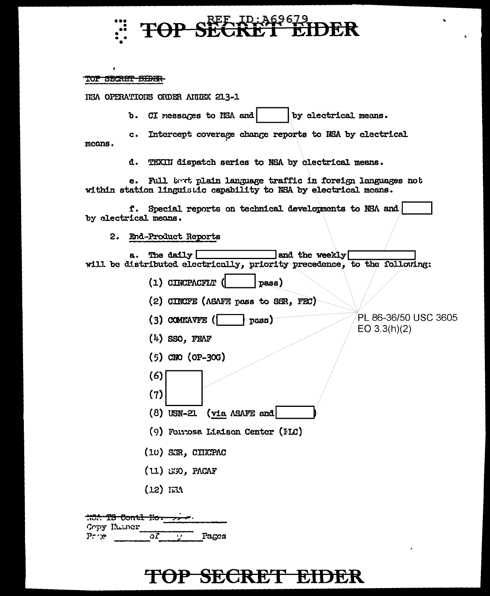

#### TOP SECRET BIBER-

HEA OPERATIONS ORDER ANNEX 213-1

b. CI messages to NSA and by electrical means.

c. Intercept coverage change reports to NSA by electrical means.

> d. TEXIII dispatch series to NSA by clectrical means.

Full best plain language traffic in foreign languages not e. within station linguistic capability to NSA by electrical means.

f. Special reports on technical developments to NSA and by electrical means.

2. End-Product Reports

The daily  $\Box$ **]and the weekly[ a.** will be distributed electrically, priority precedence, to the following:

- $(1)$  CINCPACFLT  $($ pass)
- (2) CINCFE (ASAFE pass to SSR, FEC)
- PL 86-36/50 USC 3605  $(3)$  COMEAVFE  $($ rass).  $EO 3.3(h)(2)$
- $(4)$  SSO, FEAF
- $(5)$  CNO  $(OP-3OG)$
- 
- $(6)$
- $(8)$  USN-21 (via ASAFE and
- (9) Forrosa Liaison Center (HLC)
- (10) SCR, CINCPAC
- $(11)$  SSO, PACAF
- $(12)$  IEA

 $(7)$ 

**1804 TS Contl Ho.** Copy Illuner οĪ Pages  $P: \mathcal{C}$